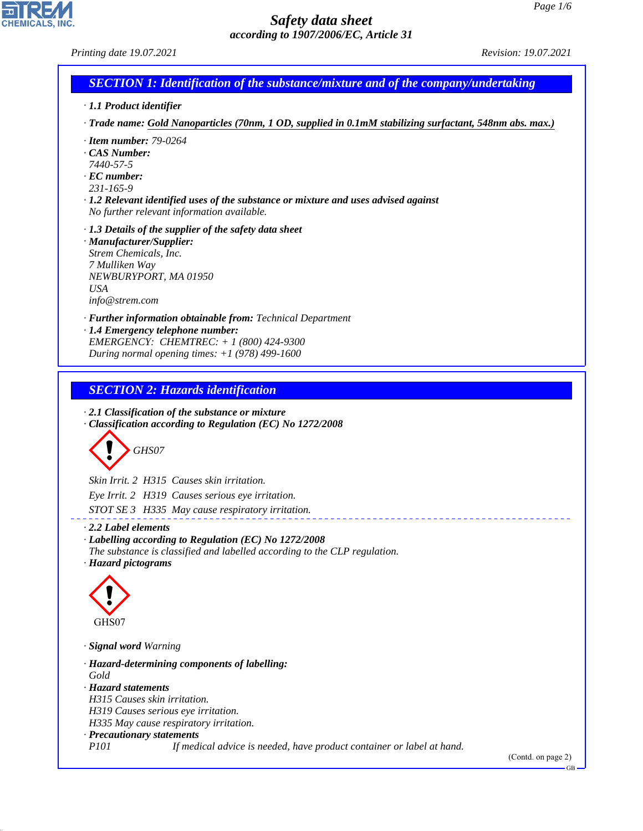*Printing date 19.07.2021 Revision: 19.07.2021*

# *SECTION 1: Identification of the substance/mixture and of the company/undertaking*

- *· 1.1 Product identifier*
- *· Trade name: Gold Nanoparticles (70nm, 1 OD, supplied in 0.1mM stabilizing surfactant, 548nm abs. max.)*
- *· Item number: 79-0264*
- *· CAS Number:*
- *7440-57-5*
- *· EC number:*
- *231-165-9*
- *· 1.2 Relevant identified uses of the substance or mixture and uses advised against No further relevant information available.*
- *· 1.3 Details of the supplier of the safety data sheet*
- *· Manufacturer/Supplier: Strem Chemicals, Inc. 7 Mulliken Way NEWBURYPORT, MA 01950 USA info@strem.com*
- *· Further information obtainable from: Technical Department · 1.4 Emergency telephone number: EMERGENCY: CHEMTREC: + 1 (800) 424-9300*
- *During normal opening times: +1 (978) 499-1600*

# *SECTION 2: Hazards identification*

*· 2.1 Classification of the substance or mixture · Classification according to Regulation (EC) No 1272/2008*



*Skin Irrit. 2 H315 Causes skin irritation. Eye Irrit. 2 H319 Causes serious eye irritation. STOT SE 3 H335 May cause respiratory irritation.*

#### *· 2.2 Label elements*

*· Labelling according to Regulation (EC) No 1272/2008 The substance is classified and labelled according to the CLP regulation. · Hazard pictograms*



44.1.1

*· Signal word Warning*

*· Hazard-determining components of labelling: Gold · Hazard statements H315 Causes skin irritation. H319 Causes serious eye irritation. H335 May cause respiratory irritation. · Precautionary statements P101 If medical advice is needed, have product container or label at hand.*

(Contd. on page 2)

GB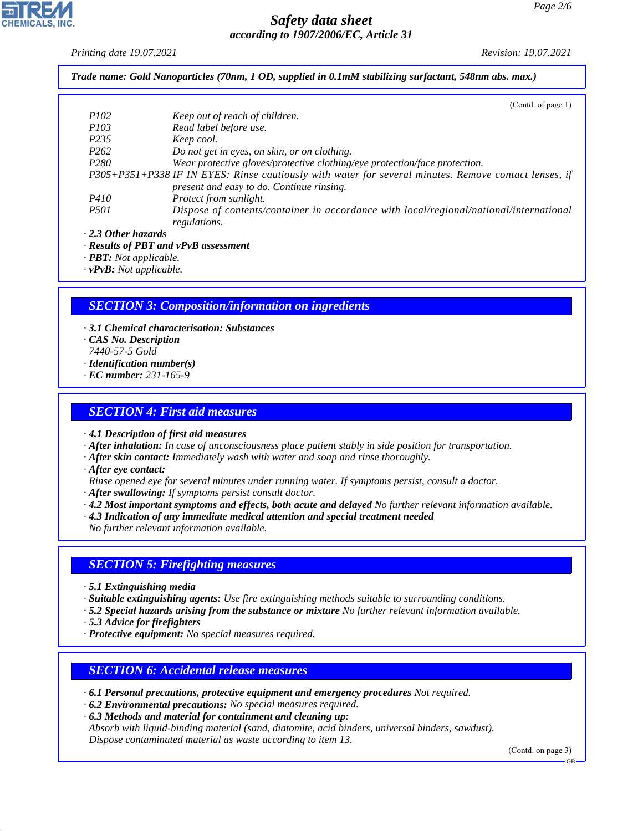*Printing date 19.07.2021 Revision: 19.07.2021*

*Trade name: Gold Nanoparticles (70nm, 1 OD, supplied in 0.1mM stabilizing surfactant, 548nm abs. max.)*

|                           | (Contd. of page 1)                                                                                    |
|---------------------------|-------------------------------------------------------------------------------------------------------|
| <i>P102</i>               | Keep out of reach of children.                                                                        |
| <i>P103</i>               | Read label before use.                                                                                |
| P <sub>235</sub>          | Keep cool.                                                                                            |
| P <sub>262</sub>          | Do not get in eyes, on skin, or on clothing.                                                          |
| P <sub>280</sub>          | Wear protective gloves/protective clothing/eye protection/face protection.                            |
|                           | P305+P351+P338 IF IN EYES: Rinse cautiously with water for several minutes. Remove contact lenses, if |
|                           | present and easy to do. Continue rinsing.                                                             |
| <i>P410</i>               | Protect from sunlight.                                                                                |
| <i>P501</i>               | Dispose of contents/container in accordance with local/regional/national/international                |
|                           | regulations.                                                                                          |
| $\cdot$ 2.3 Other hazards |                                                                                                       |
|                           |                                                                                                       |

*· Results of PBT and vPvB assessment*

*· PBT: Not applicable.*

*· vPvB: Not applicable.*

## *SECTION 3: Composition/information on ingredients*

*· 3.1 Chemical characterisation: Substances · CAS No. Description 7440-57-5 Gold · Identification number(s) · EC number: 231-165-9*

### *SECTION 4: First aid measures*

*· 4.1 Description of first aid measures*

- *· After inhalation: In case of unconsciousness place patient stably in side position for transportation.*
- *· After skin contact: Immediately wash with water and soap and rinse thoroughly.*
- *· After eye contact:*
- *Rinse opened eye for several minutes under running water. If symptoms persist, consult a doctor.*
- *· After swallowing: If symptoms persist consult doctor.*
- *· 4.2 Most important symptoms and effects, both acute and delayed No further relevant information available.*
- *· 4.3 Indication of any immediate medical attention and special treatment needed*
- *No further relevant information available.*

#### *SECTION 5: Firefighting measures*

- *· 5.1 Extinguishing media*
- *· Suitable extinguishing agents: Use fire extinguishing methods suitable to surrounding conditions.*
- *· 5.2 Special hazards arising from the substance or mixture No further relevant information available.*
- *· 5.3 Advice for firefighters*

44.1.1

*· Protective equipment: No special measures required.*

## *SECTION 6: Accidental release measures*

- *· 6.1 Personal precautions, protective equipment and emergency procedures Not required.*
- *· 6.2 Environmental precautions: No special measures required.*
- *· 6.3 Methods and material for containment and cleaning up:*

*Absorb with liquid-binding material (sand, diatomite, acid binders, universal binders, sawdust). Dispose contaminated material as waste according to item 13.*

(Contd. on page 3)

GB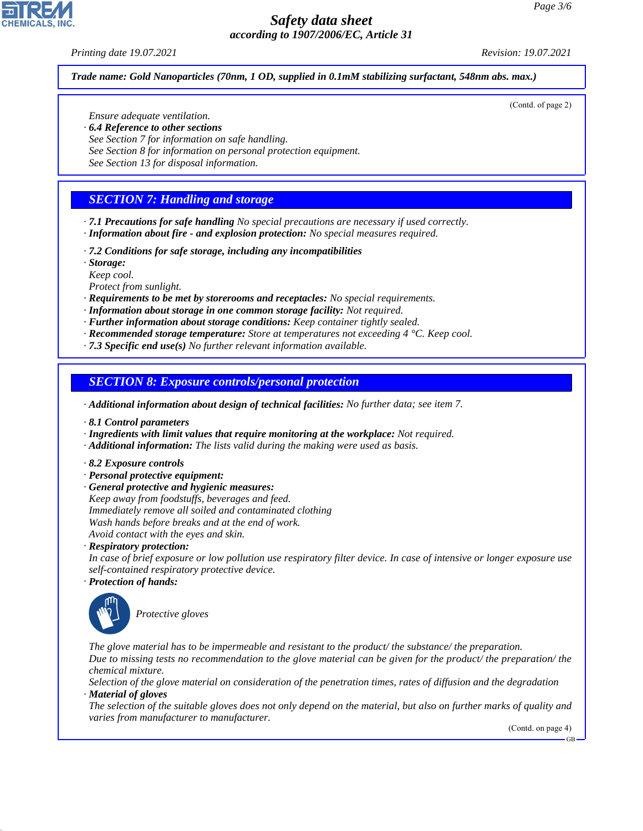#### *Printing date 19.07.2021 Revision: 19.07.2021*

(Contd. of page 2)

*Trade name: Gold Nanoparticles (70nm, 1 OD, supplied in 0.1mM stabilizing surfactant, 548nm abs. max.)*

*Ensure adequate ventilation.*

- *· 6.4 Reference to other sections*
- *See Section 7 for information on safe handling.*
- *See Section 8 for information on personal protection equipment.*
- *See Section 13 for disposal information.*

# *SECTION 7: Handling and storage*

- *· 7.1 Precautions for safe handling No special precautions are necessary if used correctly. · Information about fire - and explosion protection: No special measures required.*
- *· 7.2 Conditions for safe storage, including any incompatibilities*
- *· Storage:*
- *Keep cool.*

*Protect from sunlight.*

- *· Requirements to be met by storerooms and receptacles: No special requirements.*
- *· Information about storage in one common storage facility: Not required.*
- *· Further information about storage conditions: Keep container tightly sealed.*
- *· Recommended storage temperature: Store at temperatures not exceeding 4 °C. Keep cool.*
- *· 7.3 Specific end use(s) No further relevant information available.*

### *SECTION 8: Exposure controls/personal protection*

- *· Additional information about design of technical facilities: No further data; see item 7.*
- *· 8.1 Control parameters*
- *· Ingredients with limit values that require monitoring at the workplace: Not required.*
- *· Additional information: The lists valid during the making were used as basis.*
- *· 8.2 Exposure controls*
- *· Personal protective equipment:*
- *· General protective and hygienic measures: Keep away from foodstuffs, beverages and feed. Immediately remove all soiled and contaminated clothing Wash hands before breaks and at the end of work. Avoid contact with the eyes and skin.*

*· Respiratory protection:*

*In case of brief exposure or low pollution use respiratory filter device. In case of intensive or longer exposure use self-contained respiratory protective device.*

*· Protection of hands:*



44.1.1

\_S*Protective gloves*

*The glove material has to be impermeable and resistant to the product/ the substance/ the preparation. Due to missing tests no recommendation to the glove material can be given for the product/ the preparation/ the chemical mixture.*

*Selection of the glove material on consideration of the penetration times, rates of diffusion and the degradation · Material of gloves*

*The selection of the suitable gloves does not only depend on the material, but also on further marks of quality and varies from manufacturer to manufacturer.*

(Contd. on page 4)

GB

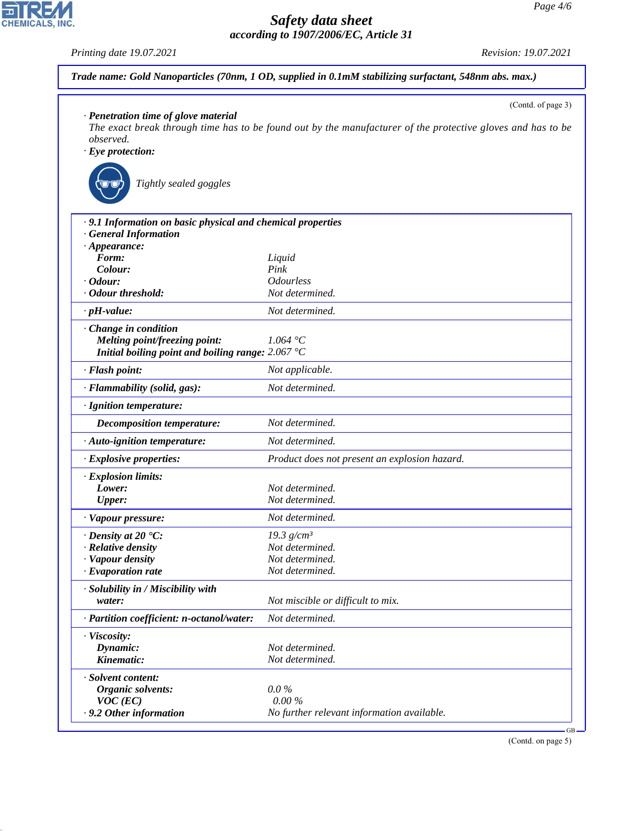*Printing date 19.07.2021 Revision: 19.07.2021*

CHEMICALS, INC.

44.1.1

| · Penetration time of glove material                        | (Contd. of page 3)                                                                                          |
|-------------------------------------------------------------|-------------------------------------------------------------------------------------------------------------|
|                                                             | The exact break through time has to be found out by the manufacturer of the protective gloves and has to be |
| observed.                                                   |                                                                                                             |
| $\cdot$ Eye protection:                                     |                                                                                                             |
|                                                             |                                                                                                             |
| Tightly sealed goggles                                      |                                                                                                             |
| · 9.1 Information on basic physical and chemical properties |                                                                                                             |
| · General Information                                       |                                                                                                             |
| $\cdot$ Appearance:                                         |                                                                                                             |
| Form:                                                       | Liquid                                                                                                      |
| Colour:                                                     | Pink                                                                                                        |
| $\cdot$ Odour:                                              | <b>Odourless</b>                                                                                            |
| · Odour threshold:                                          | Not determined.                                                                                             |
| $\cdot$ pH-value:                                           | Not determined.                                                                                             |
| · Change in condition                                       |                                                                                                             |
| Melting point/freezing point:                               | 1.064 °C                                                                                                    |
| Initial boiling point and boiling range: $2.067^{\circ}$ C  |                                                                                                             |
| · Flash point:                                              | Not applicable.                                                                                             |
| · Flammability (solid, gas):                                | Not determined.                                                                                             |
| · Ignition temperature:                                     |                                                                                                             |
| <b>Decomposition temperature:</b>                           | Not determined.                                                                                             |
| · Auto-ignition temperature:                                | Not determined.                                                                                             |
| · Explosive properties:                                     | Product does not present an explosion hazard.                                                               |
| · Explosion limits:                                         |                                                                                                             |
| Lower:                                                      | Not determined.                                                                                             |
| <b>Upper:</b>                                               | Not determined.                                                                                             |
| · Vapour pressure:                                          | Not determined.                                                                                             |
| $\cdot$ Density at 20 $\textdegree$ C:                      | 19.3 $g/cm^3$                                                                                               |
| $\cdot$ Relative density                                    | Not determined.                                                                                             |
| · Vapour density                                            | Not determined.                                                                                             |
| $\cdot$ Evaporation rate                                    | Not determined.                                                                                             |
| · Solubility in / Miscibility with                          |                                                                                                             |
| water:                                                      | Not miscible or difficult to mix.                                                                           |
| · Partition coefficient: n-octanol/water:                   | Not determined.                                                                                             |
| · Viscosity:                                                |                                                                                                             |
| Dynamic:                                                    | Not determined.                                                                                             |
| Kinematic:                                                  | Not determined.                                                                                             |
| · Solvent content:                                          |                                                                                                             |
| <b>Organic solvents:</b>                                    | $0.0\%$                                                                                                     |
| $VOC$ (EC)                                                  | $0.00\%$                                                                                                    |
| .9.2 Other information                                      | No further relevant information available.                                                                  |

(Contd. on page 5)

GB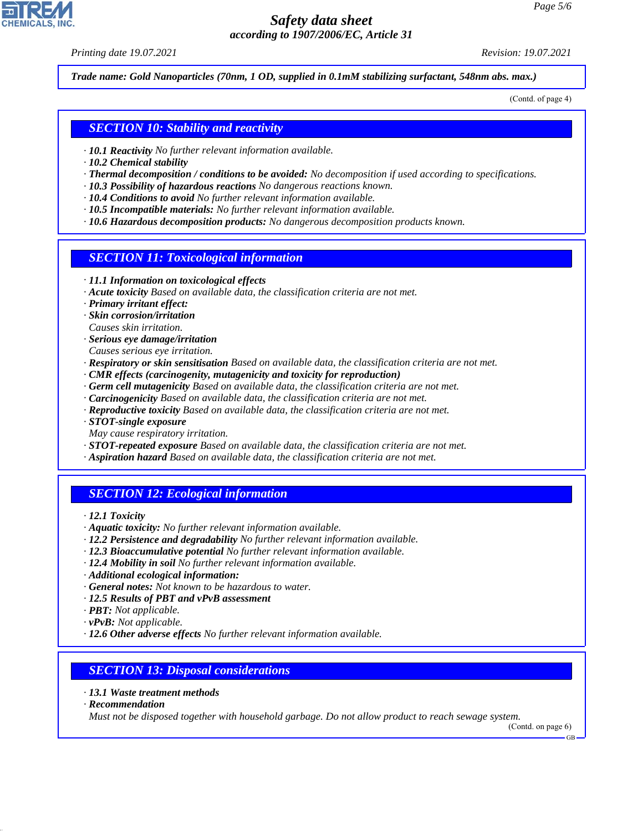*Printing date 19.07.2021 Revision: 19.07.2021*

*Trade name: Gold Nanoparticles (70nm, 1 OD, supplied in 0.1mM stabilizing surfactant, 548nm abs. max.)*

(Contd. of page 4)

### *SECTION 10: Stability and reactivity*

- *· 10.1 Reactivity No further relevant information available.*
- *· 10.2 Chemical stability*
- *· Thermal decomposition / conditions to be avoided: No decomposition if used according to specifications.*
- *· 10.3 Possibility of hazardous reactions No dangerous reactions known.*
- *· 10.4 Conditions to avoid No further relevant information available.*
- *· 10.5 Incompatible materials: No further relevant information available.*
- *· 10.6 Hazardous decomposition products: No dangerous decomposition products known.*

#### *SECTION 11: Toxicological information*

- *· 11.1 Information on toxicological effects*
- *· Acute toxicity Based on available data, the classification criteria are not met.*
- *· Primary irritant effect:*
- *· Skin corrosion/irritation*
- *Causes skin irritation.*
- *· Serious eye damage/irritation*
- *Causes serious eye irritation.*
- *· Respiratory or skin sensitisation Based on available data, the classification criteria are not met.*
- *· CMR effects (carcinogenity, mutagenicity and toxicity for reproduction)*
- *· Germ cell mutagenicity Based on available data, the classification criteria are not met.*
- *· Carcinogenicity Based on available data, the classification criteria are not met.*
- *· Reproductive toxicity Based on available data, the classification criteria are not met.*
- *· STOT-single exposure*
- *May cause respiratory irritation.*
- *· STOT-repeated exposure Based on available data, the classification criteria are not met.*
- *· Aspiration hazard Based on available data, the classification criteria are not met.*

## *SECTION 12: Ecological information*

- *· 12.1 Toxicity*
- *· Aquatic toxicity: No further relevant information available.*
- *· 12.2 Persistence and degradability No further relevant information available.*
- *· 12.3 Bioaccumulative potential No further relevant information available.*
- *· 12.4 Mobility in soil No further relevant information available.*
- *· Additional ecological information:*
- *· General notes: Not known to be hazardous to water.*
- *· 12.5 Results of PBT and vPvB assessment*
- *· PBT: Not applicable.*
- *· vPvB: Not applicable.*
- *· 12.6 Other adverse effects No further relevant information available.*

#### *SECTION 13: Disposal considerations*

- *· 13.1 Waste treatment methods*
- *· Recommendation*

44.1.1

*Must not be disposed together with household garbage. Do not allow product to reach sewage system.*

(Contd. on page 6)

GB